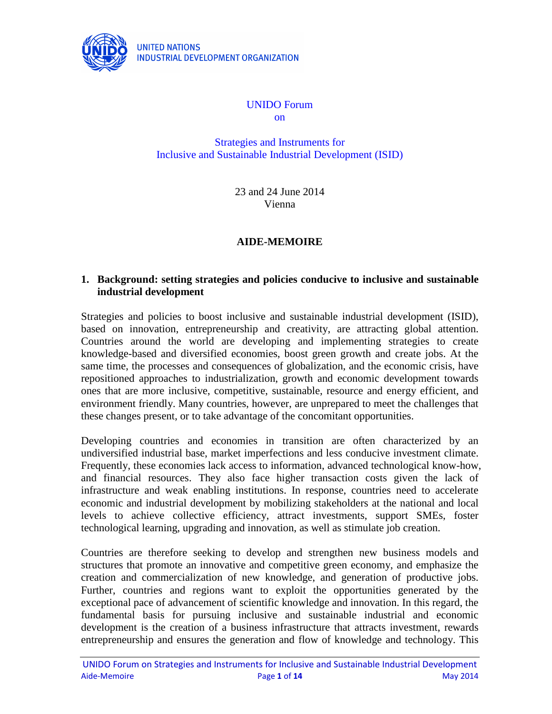

# UNIDO Forum

on

Strategies and Instruments for Inclusive and Sustainable Industrial Development (ISID)

> 23 and 24 June 2014 Vienna

# **AIDE-MEMOIRE**

# **1. Background: setting strategies and policies conducive to inclusive and sustainable industrial development**

Strategies and policies to boost inclusive and sustainable industrial development (ISID), based on innovation, entrepreneurship and creativity, are attracting global attention. Countries around the world are developing and implementing strategies to create knowledge-based and diversified economies, boost green growth and create jobs. At the same time, the processes and consequences of globalization, and the economic crisis, have repositioned approaches to industrialization, growth and economic development towards ones that are more inclusive, competitive, sustainable, resource and energy efficient, and environment friendly. Many countries, however, are unprepared to meet the challenges that these changes present, or to take advantage of the concomitant opportunities.

Developing countries and economies in transition are often characterized by an undiversified industrial base, market imperfections and less conducive investment climate. Frequently, these economies lack access to information, advanced technological know-how, and financial resources. They also face higher transaction costs given the lack of infrastructure and weak enabling institutions. In response, countries need to accelerate economic and industrial development by mobilizing stakeholders at the national and local levels to achieve collective efficiency, attract investments, support SMEs, foster technological learning, upgrading and innovation, as well as stimulate job creation.

Countries are therefore seeking to develop and strengthen new business models and structures that promote an innovative and competitive green economy, and emphasize the creation and commercialization of new knowledge, and generation of productive jobs. Further, countries and regions want to exploit the opportunities generated by the exceptional pace of advancement of scientific knowledge and innovation. In this regard, the fundamental basis for pursuing inclusive and sustainable industrial and economic development is the creation of a business infrastructure that attracts investment, rewards entrepreneurship and ensures the generation and flow of knowledge and technology. This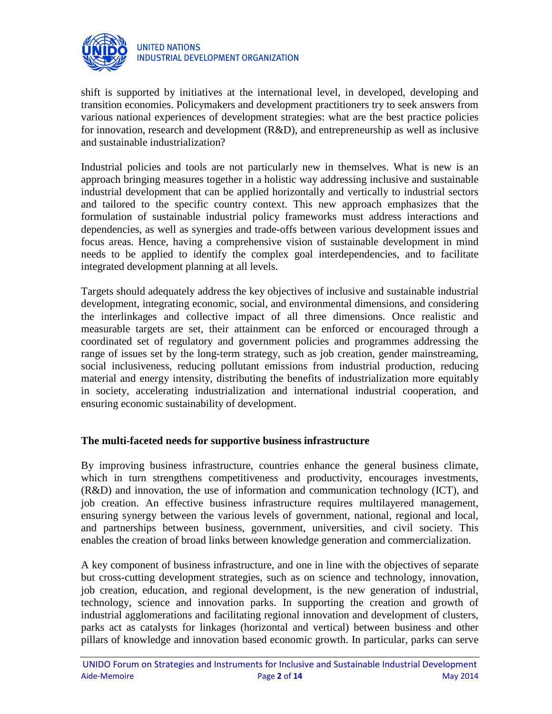

shift is supported by initiatives at the international level, in developed, developing and transition economies. Policymakers and development practitioners try to seek answers from various national experiences of development strategies: what are the best practice policies for innovation, research and development (R&D), and entrepreneurship as well as inclusive and sustainable industrialization?

Industrial policies and tools are not particularly new in themselves. What is new is an approach bringing measures together in a holistic way addressing inclusive and sustainable industrial development that can be applied horizontally and vertically to industrial sectors and tailored to the specific country context. This new approach emphasizes that the formulation of sustainable industrial policy frameworks must address interactions and dependencies, as well as synergies and trade-offs between various development issues and focus areas. Hence, having a comprehensive vision of sustainable development in mind needs to be applied to identify the complex goal interdependencies, and to facilitate integrated development planning at all levels.

Targets should adequately address the key objectives of inclusive and sustainable industrial development, integrating economic, social, and environmental dimensions, and considering the interlinkages and collective impact of all three dimensions. Once realistic and measurable targets are set, their attainment can be enforced or encouraged through a coordinated set of regulatory and government policies and programmes addressing the range of issues set by the long-term strategy, such as job creation, gender mainstreaming, social inclusiveness, reducing pollutant emissions from industrial production, reducing material and energy intensity, distributing the benefits of industrialization more equitably in society, accelerating industrialization and international industrial cooperation, and ensuring economic sustainability of development.

# **The multi-faceted needs for supportive business infrastructure**

By improving business infrastructure, countries enhance the general business climate, which in turn strengthens competitiveness and productivity, encourages investments, (R&D) and innovation, the use of information and communication technology (ICT), and job creation. An effective business infrastructure requires multilayered management, ensuring synergy between the various levels of government, national, regional and local, and partnerships between business, government, universities, and civil society. This enables the creation of broad links between knowledge generation and commercialization.

A key component of business infrastructure, and one in line with the objectives of separate but cross-cutting development strategies, such as on science and technology, innovation, job creation, education, and regional development, is the new generation of industrial, technology, science and innovation parks. In supporting the creation and growth of industrial agglomerations and facilitating regional innovation and development of clusters, parks act as catalysts for linkages (horizontal and vertical) between business and other pillars of knowledge and innovation based economic growth. In particular, parks can serve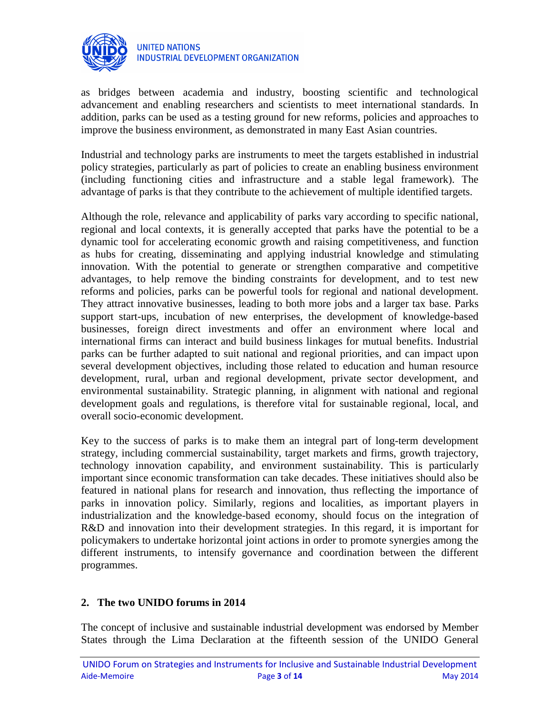

as bridges between academia and industry, boosting scientific and technological advancement and enabling researchers and scientists to meet international standards. In addition, parks can be used as a testing ground for new reforms, policies and approaches to improve the business environment, as demonstrated in many East Asian countries.

Industrial and technology parks are instruments to meet the targets established in industrial policy strategies, particularly as part of policies to create an enabling business environment (including functioning cities and infrastructure and a stable legal framework). The advantage of parks is that they contribute to the achievement of multiple identified targets.

Although the role, relevance and applicability of parks vary according to specific national, regional and local contexts, it is generally accepted that parks have the potential to be a dynamic tool for accelerating economic growth and raising competitiveness, and function as hubs for creating, disseminating and applying industrial knowledge and stimulating innovation. With the potential to generate or strengthen comparative and competitive advantages, to help remove the binding constraints for development, and to test new reforms and policies, parks can be powerful tools for regional and national development. They attract innovative businesses, leading to both more jobs and a larger tax base. Parks support start-ups, incubation of new enterprises, the development of knowledge-based businesses, foreign direct investments and offer an environment where local and international firms can interact and build business linkages for mutual benefits. Industrial parks can be further adapted to suit national and regional priorities, and can impact upon several development objectives, including those related to education and human resource development, rural, urban and regional development, private sector development, and environmental sustainability. Strategic planning, in alignment with national and regional development goals and regulations, is therefore vital for sustainable regional, local, and overall socio-economic development.

Key to the success of parks is to make them an integral part of long-term development strategy, including commercial sustainability, target markets and firms, growth trajectory, technology innovation capability, and environment sustainability. This is particularly important since economic transformation can take decades. These initiatives should also be featured in national plans for research and innovation, thus reflecting the importance of parks in innovation policy. Similarly, regions and localities, as important players in industrialization and the knowledge-based economy, should focus on the integration of R&D and innovation into their development strategies. In this regard, it is important for policymakers to undertake horizontal joint actions in order to promote synergies among the different instruments, to intensify governance and coordination between the different programmes.

# **2. The two UNIDO forums in 2014**

The concept of inclusive and sustainable industrial development was endorsed by Member States through the Lima Declaration at the fifteenth session of the UNIDO General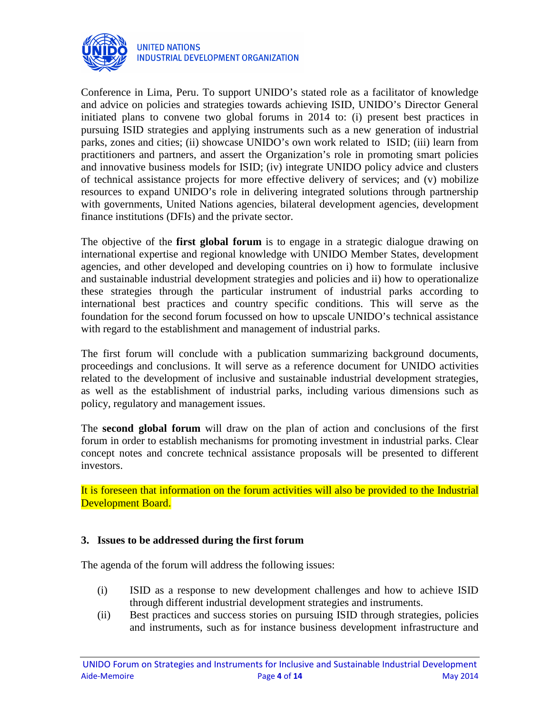

Conference in Lima, Peru. To support UNIDO's stated role as a facilitator of knowledge and advice on policies and strategies towards achieving ISID, UNIDO's Director General initiated plans to convene two global forums in 2014 to: (i) present best practices in pursuing ISID strategies and applying instruments such as a new generation of industrial parks, zones and cities; (ii) showcase UNIDO's own work related to ISID; (iii) learn from practitioners and partners, and assert the Organization's role in promoting smart policies and innovative business models for ISID; (iv) integrate UNIDO policy advice and clusters of technical assistance projects for more effective delivery of services; and (v) mobilize resources to expand UNIDO's role in delivering integrated solutions through partnership with governments, United Nations agencies, bilateral development agencies, development finance institutions (DFIs) and the private sector.

The objective of the **first global forum** is to engage in a strategic dialogue drawing on international expertise and regional knowledge with UNIDO Member States, development agencies, and other developed and developing countries on i) how to formulate inclusive and sustainable industrial development strategies and policies and ii) how to operationalize these strategies through the particular instrument of industrial parks according to international best practices and country specific conditions. This will serve as the foundation for the second forum focussed on how to upscale UNIDO's technical assistance with regard to the establishment and management of industrial parks.

The first forum will conclude with a publication summarizing background documents, proceedings and conclusions. It will serve as a reference document for UNIDO activities related to the development of inclusive and sustainable industrial development strategies, as well as the establishment of industrial parks, including various dimensions such as policy, regulatory and management issues.

The **second global forum** will draw on the plan of action and conclusions of the first forum in order to establish mechanisms for promoting investment in industrial parks. Clear concept notes and concrete technical assistance proposals will be presented to different investors.

It is foreseen that information on the forum activities will also be provided to the Industrial Development Board.

# **3. Issues to be addressed during the first forum**

The agenda of the forum will address the following issues:

- (i) ISID as a response to new development challenges and how to achieve ISID through different industrial development strategies and instruments.
- (ii) Best practices and success stories on pursuing ISID through strategies, policies and instruments, such as for instance business development infrastructure and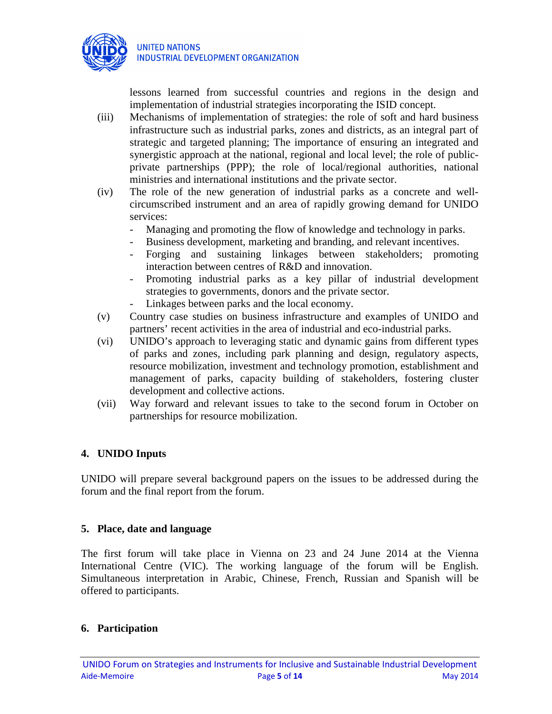

lessons learned from successful countries and regions in the design and implementation of industrial strategies incorporating the ISID concept.

- (iii) Mechanisms of implementation of strategies: the role of soft and hard business infrastructure such as industrial parks, zones and districts, as an integral part of strategic and targeted planning; The importance of ensuring an integrated and synergistic approach at the national, regional and local level; the role of publicprivate partnerships (PPP); the role of local/regional authorities, national ministries and international institutions and the private sector.
- (iv) The role of the new generation of industrial parks as a concrete and wellcircumscribed instrument and an area of rapidly growing demand for UNIDO services:
	- Managing and promoting the flow of knowledge and technology in parks.
	- Business development, marketing and branding, and relevant incentives.
	- Forging and sustaining linkages between stakeholders; promoting interaction between centres of R&D and innovation.
	- Promoting industrial parks as a key pillar of industrial development strategies to governments, donors and the private sector.
	- Linkages between parks and the local economy.
- (v) Country case studies on business infrastructure and examples of UNIDO and partners' recent activities in the area of industrial and eco-industrial parks.
- (vi) UNIDO's approach to leveraging static and dynamic gains from different types of parks and zones, including park planning and design, regulatory aspects, resource mobilization, investment and technology promotion, establishment and management of parks, capacity building of stakeholders, fostering cluster development and collective actions.
- (vii) Way forward and relevant issues to take to the second forum in October on partnerships for resource mobilization.

# **4. UNIDO Inputs**

UNIDO will prepare several background papers on the issues to be addressed during the forum and the final report from the forum.

# **5. Place, date and language**

The first forum will take place in Vienna on 23 and 24 June 2014 at the Vienna International Centre (VIC). The working language of the forum will be English. Simultaneous interpretation in Arabic, Chinese, French, Russian and Spanish will be offered to participants.

# **6. Participation**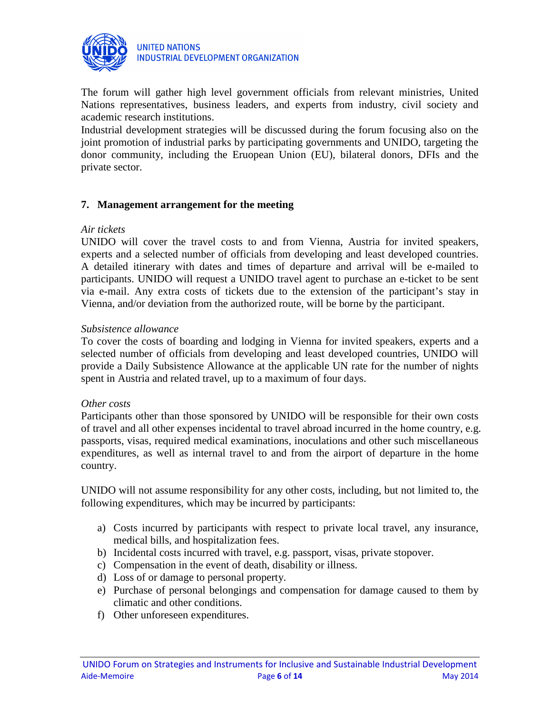

The forum will gather high level government officials from relevant ministries, United Nations representatives, business leaders, and experts from industry, civil society and academic research institutions.

Industrial development strategies will be discussed during the forum focusing also on the joint promotion of industrial parks by participating governments and UNIDO, targeting the donor community, including the Eruopean Union (EU), bilateral donors, DFIs and the private sector.

# **7. Management arrangement for the meeting**

#### *Air tickets*

UNIDO will cover the travel costs to and from Vienna, Austria for invited speakers, experts and a selected number of officials from developing and least developed countries. A detailed itinerary with dates and times of departure and arrival will be e-mailed to participants. UNIDO will request a UNIDO travel agent to purchase an e-ticket to be sent via e-mail. Any extra costs of tickets due to the extension of the participant's stay in Vienna, and/or deviation from the authorized route, will be borne by the participant.

#### *Subsistence allowance*

To cover the costs of boarding and lodging in Vienna for invited speakers, experts and a selected number of officials from developing and least developed countries, UNIDO will provide a Daily Subsistence Allowance at the applicable UN rate for the number of nights spent in Austria and related travel, up to a maximum of four days.

#### *Other costs*

Participants other than those sponsored by UNIDO will be responsible for their own costs of travel and all other expenses incidental to travel abroad incurred in the home country, e.g. passports, visas, required medical examinations, inoculations and other such miscellaneous expenditures, as well as internal travel to and from the airport of departure in the home country.

UNIDO will not assume responsibility for any other costs, including, but not limited to, the following expenditures, which may be incurred by participants:

- a) Costs incurred by participants with respect to private local travel, any insurance, medical bills, and hospitalization fees.
- b) Incidental costs incurred with travel, e.g. passport, visas, private stopover.
- c) Compensation in the event of death, disability or illness.
- d) Loss of or damage to personal property.
- e) Purchase of personal belongings and compensation for damage caused to them by climatic and other conditions.
- f) Other unforeseen expenditures.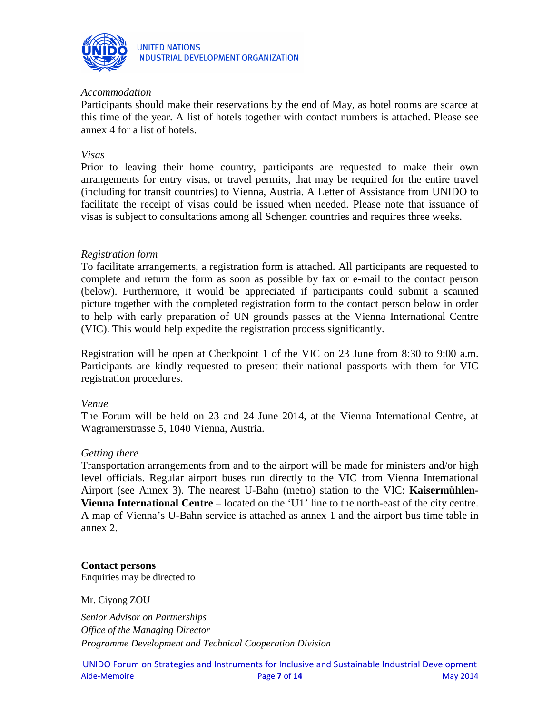

### *Accommodation*

Participants should make their reservations by the end of May, as hotel rooms are scarce at this time of the year. A list of hotels together with contact numbers is attached. Please see annex 4 for a list of hotels.

#### *Visas*

Prior to leaving their home country, participants are requested to make their own arrangements for entry visas, or travel permits, that may be required for the entire travel (including for transit countries) to Vienna, Austria. A Letter of Assistance from UNIDO to facilitate the receipt of visas could be issued when needed. Please note that issuance of visas is subject to consultations among all Schengen countries and requires three weeks.

#### *Registration form*

To facilitate arrangements, a registration form is attached. All participants are requested to complete and return the form as soon as possible by fax or e-mail to the contact person (below). Furthermore, it would be appreciated if participants could submit a scanned picture together with the completed registration form to the contact person below in order to help with early preparation of UN grounds passes at the Vienna International Centre (VIC). This would help expedite the registration process significantly.

Registration will be open at Checkpoint 1 of the VIC on 23 June from 8:30 to 9:00 a.m. Participants are kindly requested to present their national passports with them for VIC registration procedures.

#### *Venue*

The Forum will be held on 23 and 24 June 2014, at the Vienna International Centre, at Wagramerstrasse 5, 1040 Vienna, Austria.

#### *Getting there*

Transportation arrangements from and to the airport will be made for ministers and/or high level officials. Regular airport buses run directly to the VIC from Vienna International Airport (see Annex 3). The nearest U-Bahn (metro) station to the VIC: **Kaisermühlen-Vienna International Centre** – located on the 'U1' line to the north-east of the city centre. A map of Vienna's U-Bahn service is attached as annex 1 and the airport bus time table in annex 2.

#### **Contact persons**

Enquiries may be directed to

Mr. Ciyong ZOU

*Senior Advisor on Partnerships Office of the Managing Director Programme Development and Technical Cooperation Division*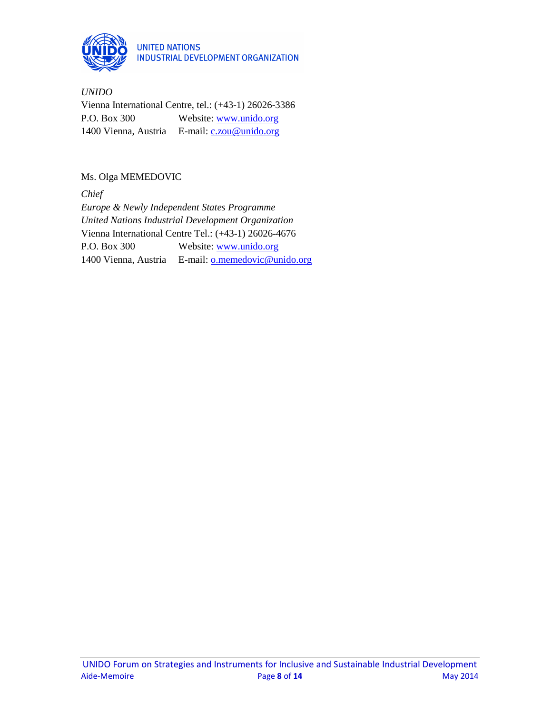

*UNIDO*  Vienna International Centre, tel.: (+43-1) 26026-3386 P.O. Box 300 Website: www.unido.org 1400 Vienna, Austria E-mail: c.zou@unido.org

# Ms. Olga MEMEDOVIC

*Chief Europe & Newly Independent States Programme United Nations Industrial Development Organization* Vienna International Centre Tel.: (+43-1) 26026-4676 P.O. Box 300 Website: www.unido.org 1400 Vienna, Austria E-mail: **o.memedovic@unido.org**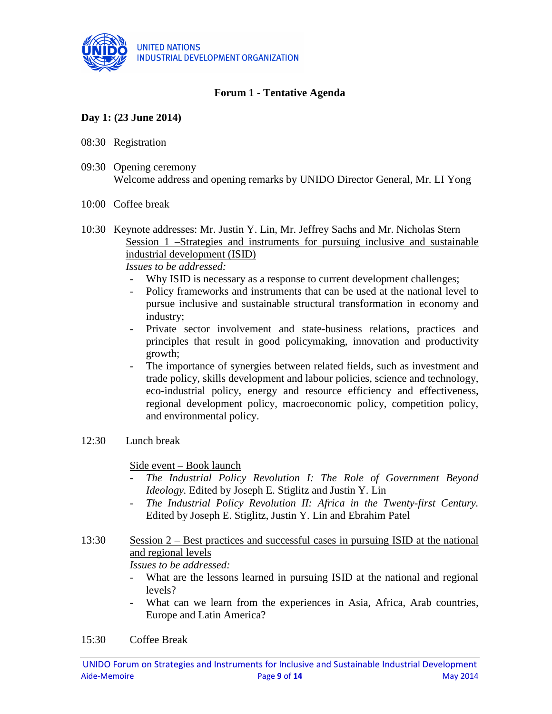

# **Forum 1 - Tentative Agenda**

# **Day 1: (23 June 2014)**

- 08:30 Registration
- 09:30 Opening ceremony Welcome address and opening remarks by UNIDO Director General, Mr. LI Yong

### 10:00 Coffee break

10:30 Keynote addresses: Mr. Justin Y. Lin, Mr. Jeffrey Sachs and Mr. Nicholas Stern Session 1 –Strategies and instruments for pursuing inclusive and sustainable industrial development (ISID)

*Issues to be addressed:*

- Why ISID is necessary as a response to current development challenges;
- Policy frameworks and instruments that can be used at the national level to pursue inclusive and sustainable structural transformation in economy and industry;
- Private sector involvement and state-business relations, practices and principles that result in good policymaking, innovation and productivity growth;
- The importance of synergies between related fields, such as investment and trade policy, skills development and labour policies, science and technology, eco-industrial policy, energy and resource efficiency and effectiveness, regional development policy, macroeconomic policy, competition policy, and environmental policy.
- 12:30 Lunch break

Side event – Book launch

- *The Industrial Policy Revolution I: The Role of Government Beyond Ideology.* Edited by Joseph E. Stiglitz and Justin Y. Lin
- The Industrial Policy Revolution II: Africa in the Twenty-first Century. Edited by Joseph E. Stiglitz, Justin Y. Lin and Ebrahim Patel
- 13:30 Session 2 Best practices and successful cases in pursuing ISID at the national and regional levels

*Issues to be addressed:*

- What are the lessons learned in pursuing ISID at the national and regional levels?
- What can we learn from the experiences in Asia, Africa, Arab countries, Europe and Latin America?
- 15:30 Coffee Break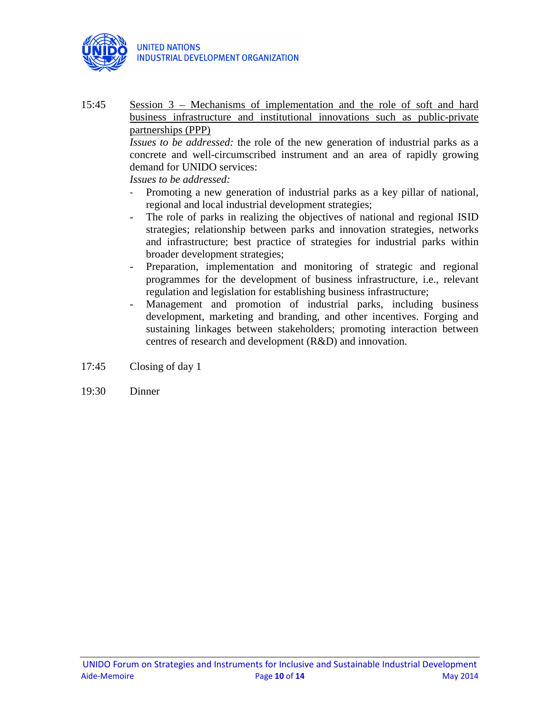

15:45 Session 3 – Mechanisms of implementation and the role of soft and hard business infrastructure and institutional innovations such as public-private partnerships (PPP)

*Issues to be addressed:* the role of the new generation of industrial parks as a concrete and well-circumscribed instrument and an area of rapidly growing demand for UNIDO services:

*Issues to be addressed:*

- Promoting a new generation of industrial parks as a key pillar of national, regional and local industrial development strategies;
- The role of parks in realizing the objectives of national and regional ISID strategies; relationship between parks and innovation strategies, networks and infrastructure; best practice of strategies for industrial parks within broader development strategies;
- Preparation, implementation and monitoring of strategic and regional programmes for the development of business infrastructure, i.e., relevant regulation and legislation for establishing business infrastructure;
- Management and promotion of industrial parks, including business development, marketing and branding, and other incentives. Forging and sustaining linkages between stakeholders; promoting interaction between centres of research and development (R&D) and innovation.
- 17:45 Closing of day 1
- 19:30 Dinner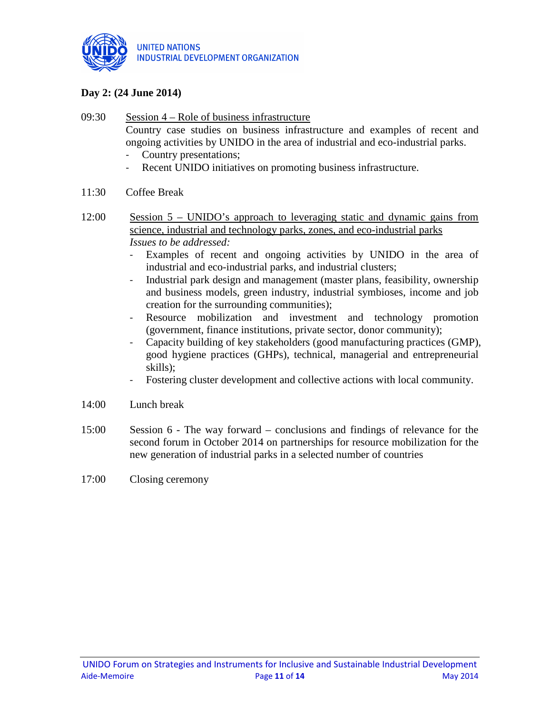

# **Day 2: (24 June 2014)**

- 09:30 Session 4 Role of business infrastructure Country case studies on business infrastructure and examples of recent and ongoing activities by UNIDO in the area of industrial and eco-industrial parks. - Country presentations;
	- Recent UNIDO initiatives on promoting business infrastructure.
- 11:30 Coffee Break
- 12:00 Session 5 UNIDO's approach to leveraging static and dynamic gains from science, industrial and technology parks, zones, and eco-industrial parks *Issues to be addressed:* 
	- Examples of recent and ongoing activities by UNIDO in the area of industrial and eco-industrial parks, and industrial clusters;
	- Industrial park design and management (master plans, feasibility, ownership and business models, green industry, industrial symbioses, income and job creation for the surrounding communities);
	- Resource mobilization and investment and technology promotion (government, finance institutions, private sector, donor community);
	- Capacity building of key stakeholders (good manufacturing practices (GMP), good hygiene practices (GHPs), technical, managerial and entrepreneurial skills);
	- Fostering cluster development and collective actions with local community.
- 14:00 Lunch break
- 15:00 Session 6 The way forward conclusions and findings of relevance for the second forum in October 2014 on partnerships for resource mobilization for the new generation of industrial parks in a selected number of countries
- 17:00 Closing ceremony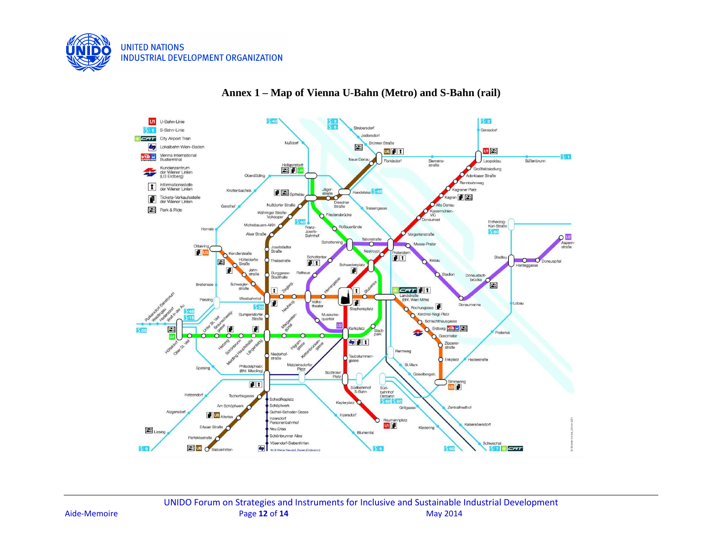



### **Annex 1 – Map of Vienna U-Bahn (Metro) and S-Bahn (rail)**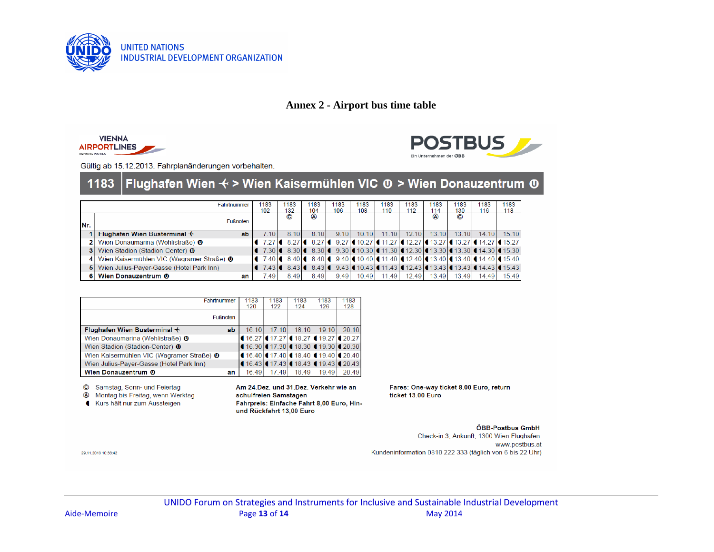

# **Annex 2 - Airport bus time table**





Gültig ab 15.12.2013. Fahrplanänderungen vorbehalten.

#### Flughafen Wien ∢ > Wien Kaisermühlen VIC <sup>®</sup> > Wien Donauzentrum ® 1183

|     | Fahrtnummer                               | 183<br>102 | 1183<br>132    | 1183<br>104                                                                                                                                                                                   | 1183<br>106 | 1183<br>108 | 1183<br>110 | 1183<br>112 | 1183<br>114 | 1183<br>130 | 1183<br>116 | 1183<br>118 |
|-----|-------------------------------------------|------------|----------------|-----------------------------------------------------------------------------------------------------------------------------------------------------------------------------------------------|-------------|-------------|-------------|-------------|-------------|-------------|-------------|-------------|
| Nr. | <b>Fußnoten</b>                           |            | $\circledcirc$ | $^{\circ}$                                                                                                                                                                                    |             |             |             |             | $^{\circ}$  | $\odot$     |             |             |
|     | Flughafen Wien Busterminal $+$<br>ab      | 7.10       | 8 1 0          | 8.10                                                                                                                                                                                          | 910         | 1010        | 1110        | 1210        | 13.10       | 1310        | 14.10       | 1510        |
|     | Wien Donaumarina (Wehlistraße) <b>O</b>   |            |                | 8.27 € 14.27 € 14.27 € 14.27 € 14.27 € 12.27 € 13.27 € 13.27 € 14.27 € 15.27                                                                                                                  |             |             |             |             |             |             |             |             |
|     | Wien Stadion (Stadion-Center) <b>O</b>    |            |                | 7.30 4 8.30 4 8.30 4 9.30 4 10.30 4 11.30 4 12.30 4 13.30 4 13.30 4 14.30 4 15.30                                                                                                             |             |             |             |             |             |             |             |             |
|     | Wien Kaisermühlen VIC (Wagramer Straße) 0 |            |                | <b><math>\bullet</math></b> 7.40 $\bullet$ 8.40 $\bullet$ 8.40 $\bullet$ 9.40 $\bullet$ 10.40 $\bullet$ 11.40 $\bullet$ 12.40 $\bullet$ 13.40 $\bullet$ 13.40 $\bullet$ 14.40 $\bullet$ 15.40 |             |             |             |             |             |             |             |             |
|     | Wien Julius-Payer-Gasse (Hotel Park Inn)  |            |                | 7.43 $\mid$ 8.43 $\mid$ 8.43 $\mid$ 9.43 $\mid$ 10.43 $\mid$ 11.43 $\mid$ 12.43 $\mid$ 13.43 $\mid$ 13.43 $\mid$ 14.43 $\mid$ 15.43                                                           |             |             |             |             |             |             |             |             |
|     | Wien Donauzentrum <b>O</b><br>an          | 7.49       | 8.49           | 8.49                                                                                                                                                                                          | 9.49        | 10.49       | 11.49       | 12.49       | 13.49       | 13.49       | 14.49       | 15.49       |

| Fahrtnummer                                          |  | 1183<br>120 | 1183<br>122 | 1183<br>124 | 1183<br>126                                                                | 1183<br>128 |
|------------------------------------------------------|--|-------------|-------------|-------------|----------------------------------------------------------------------------|-------------|
| <b>Fußnoten</b>                                      |  |             |             |             |                                                                            |             |
| Flughafen Wien Busterminal $+$<br>ab                 |  | 16.10       | 1710        | 18.10       | 19.10                                                                      | 20 10       |
| Wien Donaumarina (Wehlistraße) 0                     |  |             |             |             | $\left( 16.27 \right)$ (17.27 (18.27 (19.27 (20.27)                        |             |
| Wien Stadion (Stadion-Center) <b>0</b>               |  |             |             |             | (16.30)(17.30)(18.30)(19.30)(20.30)                                        |             |
| Wien Kaisermühlen VIC (Wagramer Straße) <sup>0</sup> |  |             |             |             | $\mid$ 4 16.40 $\mid$ 4 17.40 $\mid$ 4 18.40 $\mid$ 4 19.40 $\mid$ 4 20.40 |             |
| Wien Julius-Payer-Gasse (Hotel Park Inn)             |  |             |             |             | (16.43)(17.43)(18.43)(19.43)(20.43)                                        |             |
| Wien Donauzentrum <b>O</b><br>an                     |  | 16.49       | 17.49       | 18.49       | 19.49                                                                      | 20.49       |

C Samstag, Sonn- und Feiertag

4 Montag bis Freitag, wenn Werktag

Kurs hält nur zum Aussteigen

Am 24.Dez. und 31.Dez. Verkehr wie an schulfreien Samstagen Fahrpreis: Einfache Fahrt 8,00 Euro, Hinund Rückfahrt 13,00 Euro

Fares: One-way ticket 8.00 Euro, return ticket 13.00 Euro

#### ÖBB-Postbus GmbH

Check-in 3, Ankunft, 1300 Wien Flughafen www.postbus.at Kundeninformation 0810 222 333 (täglich von 6 bis 22 Uhr)

29.11.2013 10:33:42

UNIDO Forum on Strategies and Instruments for Inclusive and Sustainable Industrial Development Aide-Memoire Page **13** of **14** May 2014